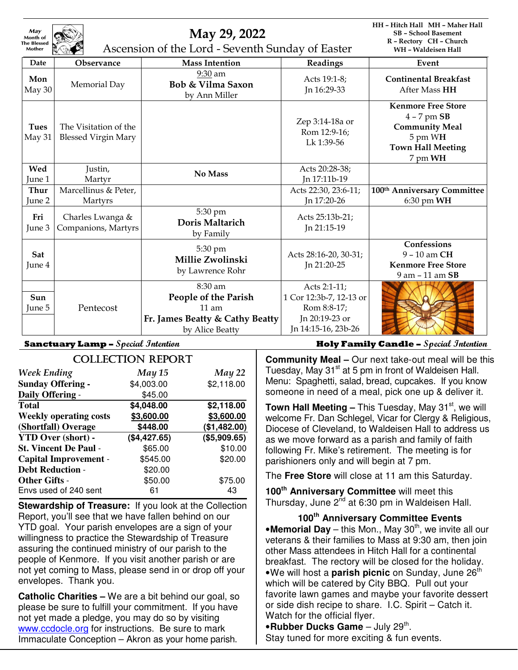| May<br>Month of<br><b>The Blessed</b><br>Mother | May 29, 2022<br>Ascension of the Lord - Seventh Sunday of Easter |                                                                                                    |                                                                                                 | HH - Hitch Hall MH - Maher Hall<br><b>SB - School Basement</b><br>R - Rectory CH - Church<br>WH - Waldeisen Hall        |
|-------------------------------------------------|------------------------------------------------------------------|----------------------------------------------------------------------------------------------------|-------------------------------------------------------------------------------------------------|-------------------------------------------------------------------------------------------------------------------------|
| Date                                            | <b>Observance</b>                                                | <b>Mass Intention</b>                                                                              | Readings                                                                                        | Event                                                                                                                   |
| Mon<br>May 30                                   | Memorial Day                                                     | $9:30$ am<br>Bob & Vilma Saxon<br>by Ann Miller                                                    | Acts 19:1-8;<br>In 16:29-33                                                                     | <b>Continental Breakfast</b><br>After Mass HH                                                                           |
| <b>Tues</b><br>May 31                           | The Visitation of the<br><b>Blessed Virgin Mary</b>              |                                                                                                    | Zep 3:14-18a or<br>Rom 12:9-16;<br>Lk 1:39-56                                                   | <b>Kenmore Free Store</b><br>$4 - 7$ pm $SB$<br><b>Community Meal</b><br>5 pm WH<br><b>Town Hall Meeting</b><br>7 pm WH |
| Wed<br>June 1                                   | Justin,<br>Martyr                                                | No Mass                                                                                            | Acts 20:28-38;<br>In 17:11b-19                                                                  |                                                                                                                         |
| Thur<br>June 2                                  | Marcellinus & Peter,<br>Martyrs                                  |                                                                                                    | Acts 22:30, 23:6-11;<br>Jn 17:20-26                                                             | 100 <sup>th</sup> Anniversary Committee<br>6:30 pm WH                                                                   |
| Fri<br>June 3                                   | Charles Lwanga &<br>Companions, Martyrs                          | 5:30 pm<br>Doris Maltarich<br>by Family                                                            | Acts 25:13b-21;<br>In 21:15-19                                                                  |                                                                                                                         |
| Sat<br>June 4                                   |                                                                  | 5:30 pm<br>Millie Zwolinski<br>by Lawrence Rohr                                                    | Acts 28:16-20, 30-31;<br>In 21:20-25                                                            | Confessions<br>9 - 10 am CH<br><b>Kenmore Free Store</b><br>9 am - 11 am SB                                             |
| Sun<br>June 5                                   | Pentecost                                                        | $8:30$ am<br>People of the Parish<br>$11$ am<br>Fr. James Beatty & Cathy Beatty<br>by Alice Beatty | Acts 2:1-11;<br>1 Cor 12:3b-7, 12-13 or<br>Rom 8:8-17;<br>Jn 20:19-23 or<br>Jn 14:15-16, 23b-26 |                                                                                                                         |

| <b>COLLECTION REPORT</b>      |              |              |  |  |
|-------------------------------|--------------|--------------|--|--|
| <b>Week Ending</b>            | May 15       | May 22       |  |  |
| <b>Sunday Offering -</b>      | \$4,003.00   | \$2,118.00   |  |  |
| Daily Offering -              | \$45.00      |              |  |  |
| <b>Total</b>                  | \$4,048.00   | \$2,118.00   |  |  |
| <b>Weekly operating costs</b> | \$3,600.00   | \$3,600.00   |  |  |
| (Shortfall) Overage           | \$448.00     | (\$1,482.00) |  |  |
| <b>YTD Over (short) -</b>     | (\$4,427.65) | (\$5,909.65) |  |  |
| <b>St. Vincent De Paul -</b>  | \$65.00      | \$10.00      |  |  |
| <b>Capital Improvement -</b>  | \$545.00     | \$20.00      |  |  |
| <b>Debt Reduction -</b>       | \$20.00      |              |  |  |
| <b>Other Gifts -</b>          | \$50.00      | \$75.00      |  |  |
| Envs used of 240 sent         | 61           | 43           |  |  |

**Stewardship of Treasure:** If you look at the Collection Report, you'll see that we have fallen behind on our YTD goal. Your parish envelopes are a sign of your willingness to practice the Stewardship of Treasure assuring the continued ministry of our parish to the people of Kenmore. If you visit another parish or are not yet coming to Mass, please send in or drop off your envelopes. Thank you.

**Catholic Charities –** We are a bit behind our goal, so please be sure to fulfill your commitment. If you have not yet made a pledge, you may do so by visiting www.ccdocle.org for instructions. Be sure to mark Immaculate Conception – Akron as your home parish.

**Sanctuary Lamp – Special Intention Holy Family Candle – Special Intention**

**Community Meal –** Our next take-out meal will be this Tuesday, May 31<sup>st</sup> at 5 pm in front of Waldeisen Hall. Menu: Spaghetti, salad, bread, cupcakes. If you know someone in need of a meal, pick one up & deliver it.

**Town Hall Meeting – This Tuesday, May 31<sup>st</sup>, we will** welcome Fr. Dan Schlegel, Vicar for Clergy & Religious, Diocese of Cleveland, to Waldeisen Hall to address us as we move forward as a parish and family of faith following Fr. Mike's retirement. The meeting is for parishioners only and will begin at 7 pm.

The **Free Store** will close at 11 am this Saturday.

**100th Anniversary Committee** will meet this Thursday, June 2<sup>nd</sup> at 6:30 pm in Waldeisen Hall.

**100th Anniversary Committee Events**  • Memorial Day – this Mon., May 30<sup>th</sup>, we invite all our veterans & their families to Mass at 9:30 am, then join other Mass attendees in Hitch Hall for a continental breakfast. The rectory will be closed for the holiday. • We will host a **parish picnic** on Sunday, June 26<sup>th</sup> which will be catered by City BBQ. Pull out your favorite lawn games and maybe your favorite dessert or side dish recipe to share. I.C. Spirit – Catch it. Watch for the official flyer.

**•Rubber Ducks Game** – July 29<sup>th</sup>. Stay tuned for more exciting & fun events.